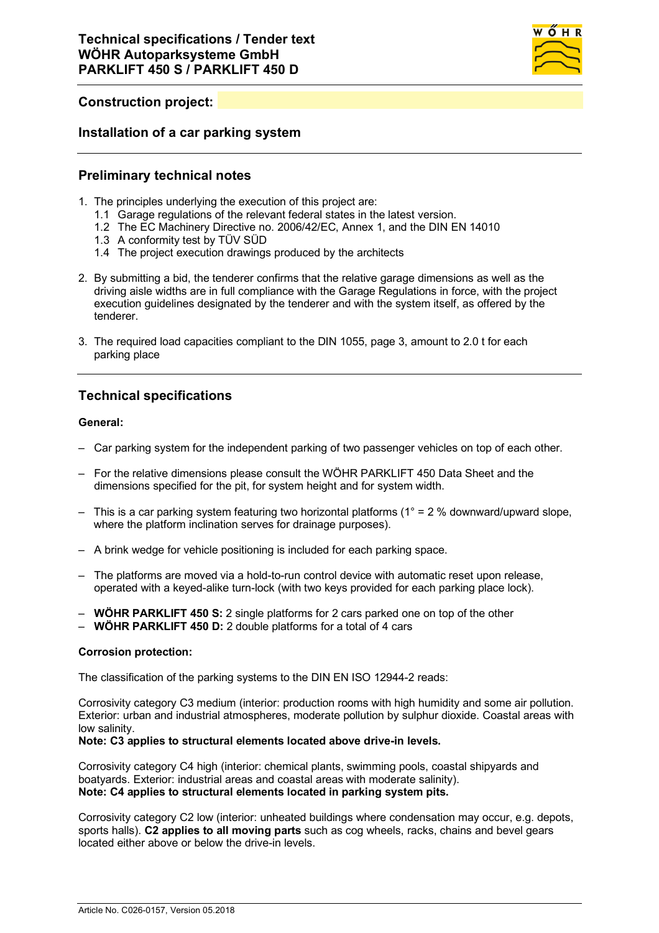

# **Construction project:**

### **Installation of a car parking system**

### **Preliminary technical notes**

- 1. The principles underlying the execution of this project are:
	- 1.1 Garage regulations of the relevant federal states in the latest version.
	- 1.2 The EC Machinery Directive no. 2006/42/EC, Annex 1, and the DIN EN 14010
	- 1.3 A conformity test by TÜV SÜD
	- 1.4 The project execution drawings produced by the architects
- 2. By submitting a bid, the tenderer confirms that the relative garage dimensions as well as the driving aisle widths are in full compliance with the Garage Regulations in force, with the project execution guidelines designated by the tenderer and with the system itself, as offered by the tenderer.
- 3. The required load capacities compliant to the DIN 1055, page 3, amount to 2.0 t for each parking place

# **Technical specifications**

### **General:**

- Car parking system for the independent parking of two passenger vehicles on top of each other.
- For the relative dimensions please consult the WÖHR PARKLIFT 450 Data Sheet and the dimensions specified for the pit, for system height and for system width.
- $-$  This is a car parking system featuring two horizontal platforms ( $1^{\circ}$  = 2 % downward/upward slope, where the platform inclination serves for drainage purposes).
- A brink wedge for vehicle positioning is included for each parking space.
- The platforms are moved via a hold-to-run control device with automatic reset upon release, operated with a keyed-alike turn-lock (with two keys provided for each parking place lock).
- **WÖHR PARKLIFT 450 S:** 2 single platforms for 2 cars parked one on top of the other
- **WÖHR PARKLIFT 450 D:** 2 double platforms for a total of 4 cars

#### **Corrosion protection:**

The classification of the parking systems to the DIN EN ISO 12944-2 reads:

Corrosivity category C3 medium (interior: production rooms with high humidity and some air pollution. Exterior: urban and industrial atmospheres, moderate pollution by sulphur dioxide. Coastal areas with low salinity.

#### **Note: C3 applies to structural elements located above drive-in levels.**

Corrosivity category C4 high (interior: chemical plants, swimming pools, coastal shipyards and boatyards. Exterior: industrial areas and coastal areas with moderate salinity). **Note: C4 applies to structural elements located in parking system pits.**

Corrosivity category C2 low (interior: unheated buildings where condensation may occur, e.g. depots, sports halls). **C2 applies to all moving parts** such as cog wheels, racks, chains and bevel gears located either above or below the drive-in levels.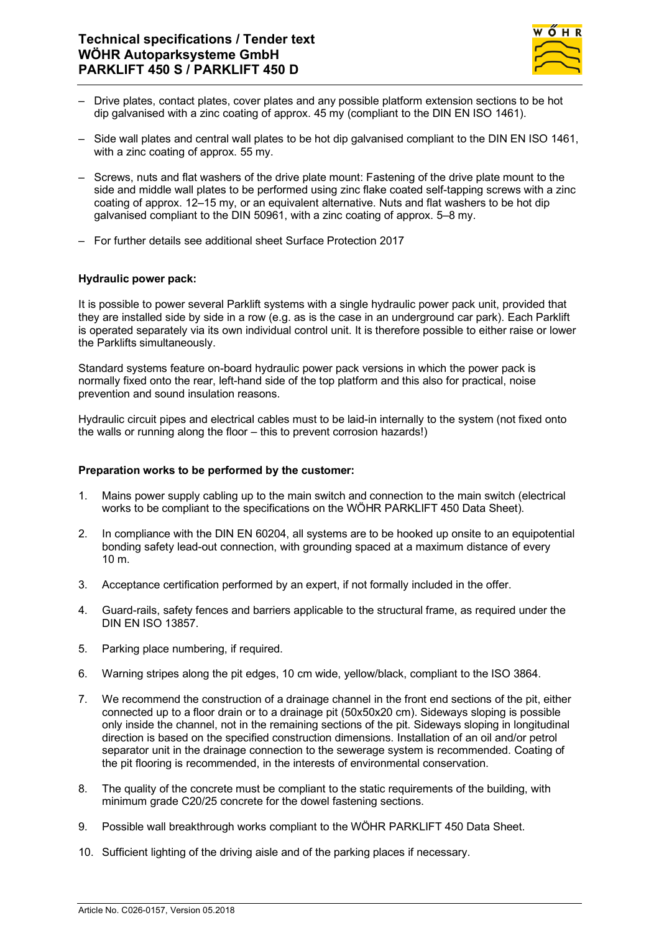

- Drive plates, contact plates, cover plates and any possible platform extension sections to be hot dip galvanised with a zinc coating of approx. 45 my (compliant to the DIN EN ISO 1461).
- Side wall plates and central wall plates to be hot dip galvanised compliant to the DIN EN ISO 1461, with a zinc coating of approx. 55 my.
- Screws, nuts and flat washers of the drive plate mount: Fastening of the drive plate mount to the side and middle wall plates to be performed using zinc flake coated self-tapping screws with a zinc coating of approx. 12–15 my, or an equivalent alternative. Nuts and flat washers to be hot dip galvanised compliant to the DIN 50961, with a zinc coating of approx. 5–8 my.
- For further details see additional sheet Surface Protection 2017

### **Hydraulic power pack:**

It is possible to power several Parklift systems with a single hydraulic power pack unit, provided that they are installed side by side in a row (e.g. as is the case in an underground car park). Each Parklift is operated separately via its own individual control unit. It is therefore possible to either raise or lower the Parklifts simultaneously.

Standard systems feature on-board hydraulic power pack versions in which the power pack is normally fixed onto the rear, left-hand side of the top platform and this also for practical, noise prevention and sound insulation reasons.

Hydraulic circuit pipes and electrical cables must to be laid-in internally to the system (not fixed onto the walls or running along the floor – this to prevent corrosion hazards!)

#### **Preparation works to be performed by the customer:**

- 1. Mains power supply cabling up to the main switch and connection to the main switch (electrical works to be compliant to the specifications on the WÖHR PARKLIFT 450 Data Sheet).
- 2. In compliance with the DIN EN 60204, all systems are to be hooked up onsite to an equipotential bonding safety lead-out connection, with grounding spaced at a maximum distance of every 10 m.
- 3. Acceptance certification performed by an expert, if not formally included in the offer.
- 4. Guard-rails, safety fences and barriers applicable to the structural frame, as required under the DIN EN ISO 13857.
- 5. Parking place numbering, if required.
- 6. Warning stripes along the pit edges, 10 cm wide, yellow/black, compliant to the ISO 3864.
- 7. We recommend the construction of a drainage channel in the front end sections of the pit, either connected up to a floor drain or to a drainage pit (50x50x20 cm). Sideways sloping is possible only inside the channel, not in the remaining sections of the pit. Sideways sloping in longitudinal direction is based on the specified construction dimensions. Installation of an oil and/or petrol separator unit in the drainage connection to the sewerage system is recommended. Coating of the pit flooring is recommended, in the interests of environmental conservation.
- 8. The quality of the concrete must be compliant to the static requirements of the building, with minimum grade C20/25 concrete for the dowel fastening sections.
- 9. Possible wall breakthrough works compliant to the WÖHR PARKLIFT 450 Data Sheet.
- 10. Sufficient lighting of the driving aisle and of the parking places if necessary.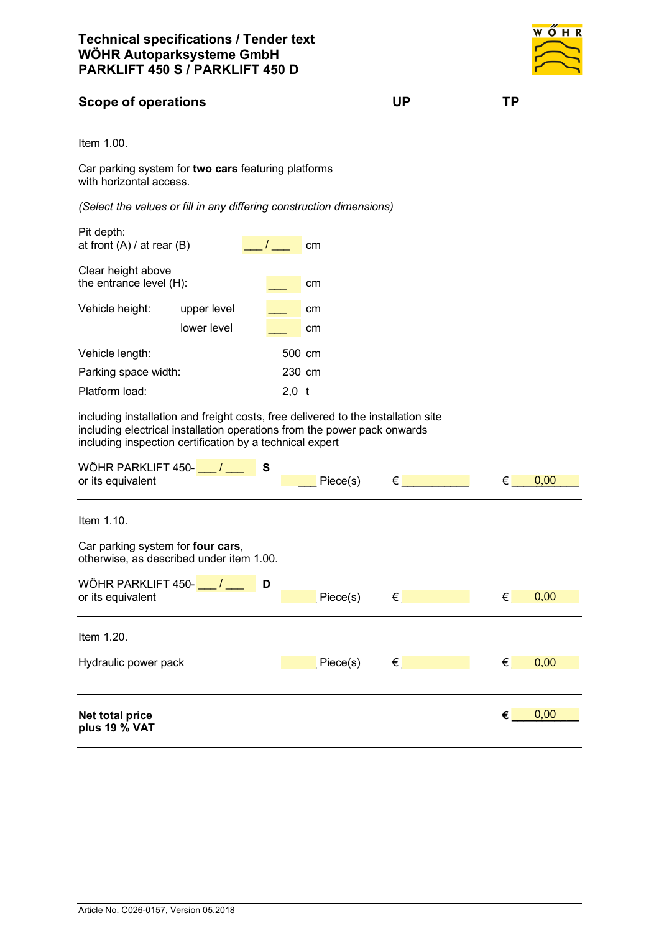

## **Scope of operations UP TP**

```
Item 1.00.
```
Car parking system for **two cars** featuring platforms with horizontal access.

*(Select the values or fill in any differing construction dimensions)*

| Pit depth:<br>at front $(A)$ / at rear $(B)$                                                                                                                                                                              |             |         | cm       |                                      |   |      |
|---------------------------------------------------------------------------------------------------------------------------------------------------------------------------------------------------------------------------|-------------|---------|----------|--------------------------------------|---|------|
| Clear height above<br>the entrance level (H):                                                                                                                                                                             |             |         | cm       |                                      |   |      |
| Vehicle height:                                                                                                                                                                                                           | upper level |         | cm       |                                      |   |      |
|                                                                                                                                                                                                                           | lower level |         | cm       |                                      |   |      |
| Vehicle length:                                                                                                                                                                                                           |             |         | 500 cm   |                                      |   |      |
| Parking space width:                                                                                                                                                                                                      |             |         | 230 cm   |                                      |   |      |
| Platform load:                                                                                                                                                                                                            |             | $2,0$ t |          |                                      |   |      |
| including installation and freight costs, free delivered to the installation site<br>including electrical installation operations from the power pack onwards<br>including inspection certification by a technical expert |             |         |          |                                      |   |      |
| WÖHR PARKLIFT 450- $\frac{\ }{\ }$ / $\frac{\ }{\ }$<br>or its equivalent                                                                                                                                                 | S           |         | Piece(s) | $\epsilon$ and the set of $\epsilon$ | € | 0,00 |
|                                                                                                                                                                                                                           |             |         |          |                                      |   |      |
| Item 1.10.                                                                                                                                                                                                                |             |         |          |                                      |   |      |
| Car parking system for four cars,<br>otherwise, as described under item 1.00.                                                                                                                                             |             |         |          |                                      |   |      |
| WÖHR PARKLIFT 450- $\frac{\ }{\ }$                                                                                                                                                                                        | D           |         |          |                                      |   |      |
| or its equivalent                                                                                                                                                                                                         |             |         | Piece(s) | $\epsilon$ and the set of $\epsilon$ | € | 0,00 |
| Item 1.20.                                                                                                                                                                                                                |             |         |          |                                      |   |      |
| Hydraulic power pack                                                                                                                                                                                                      |             |         | Piece(s) | $\epsilon$ and the set of $\epsilon$ | € | 0,00 |
|                                                                                                                                                                                                                           |             |         |          |                                      |   |      |
| Net total price<br>plus 19 % VAT                                                                                                                                                                                          |             |         |          |                                      | € | 0,00 |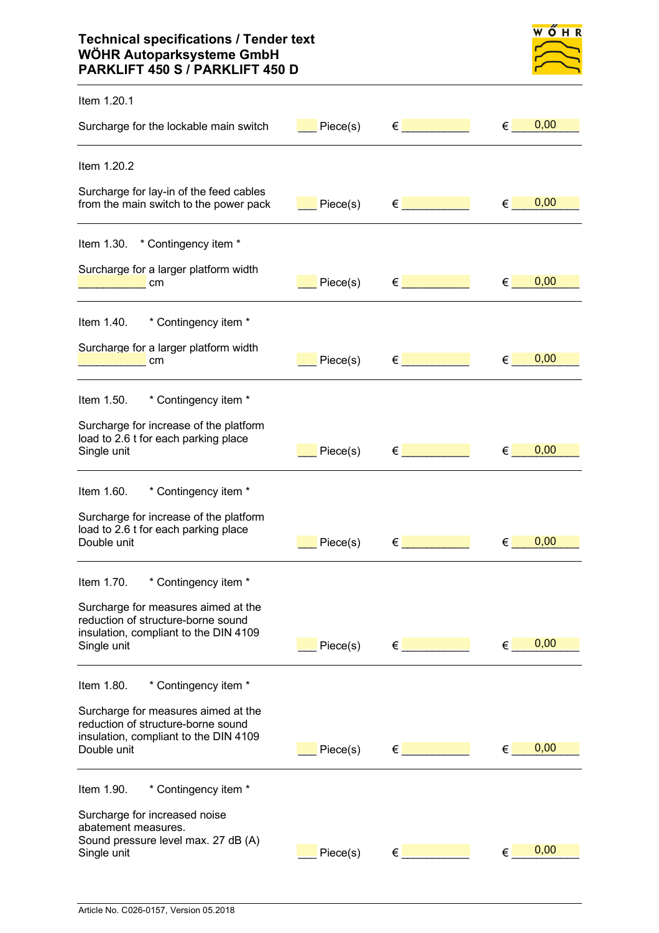## **Technical specifications / Tender text WÖHR Autoparksysteme GmbH PARKLIFT 450 S / PARKLIFT 450 D**

| M | ١ | н. | ĸ |
|---|---|----|---|
|   |   |    |   |
|   |   |    |   |

| Item 1.20.1                                                                                                                       |          |                                      |                                   |
|-----------------------------------------------------------------------------------------------------------------------------------|----------|--------------------------------------|-----------------------------------|
| Surcharge for the lockable main switch                                                                                            | Piece(s) | $\epsilon$ and the set of $\epsilon$ | 0,00<br>$\epsilon$ and $\epsilon$ |
| Item 1.20.2                                                                                                                       |          |                                      |                                   |
| Surcharge for lay-in of the feed cables<br>from the main switch to the power pack                                                 | Piece(s) | $\epsilon$ and the set of $\epsilon$ | 0,00<br>€                         |
| Item 1.30. * Contingency item *                                                                                                   |          |                                      |                                   |
| Surcharge for a larger platform width<br>cm                                                                                       | Piece(s) | $\epsilon$ . The set of $\epsilon$   | 0,00<br>€                         |
| * Contingency item *<br>Item 1.40.                                                                                                |          |                                      |                                   |
| Surcharge for a larger platform width<br>cm                                                                                       | Piece(s) | $\epsilon$ and the set of $\epsilon$ | 0,00<br>€                         |
| * Contingency item *<br>Item 1.50.                                                                                                |          |                                      |                                   |
| Surcharge for increase of the platform<br>load to 2.6 t for each parking place<br>Single unit                                     | Piece(s) | $\epsilon$                           | 0,00<br>€                         |
| * Contingency item *<br>Item 1.60.                                                                                                |          |                                      |                                   |
| Surcharge for increase of the platform<br>load to 2.6 t for each parking place<br>Double unit                                     | Piece(s) | €                                    | 0,00<br>€                         |
| Item 1.70.<br>* Contingency item *                                                                                                |          |                                      |                                   |
| Surcharge for measures aimed at the<br>reduction of structure-borne sound<br>insulation, compliant to the DIN 4109<br>Single unit | Piece(s) | $\epsilon$ . The set of $\epsilon$   | 0,00<br>€                         |
| * Contingency item *<br>Item 1.80.                                                                                                |          |                                      |                                   |
| Surcharge for measures aimed at the<br>reduction of structure-borne sound<br>insulation, compliant to the DIN 4109<br>Double unit | Piece(s) | $\epsilon$ and the set of $\epsilon$ | 0,00<br>€                         |
| Item 1.90.<br>* Contingency item *                                                                                                |          |                                      |                                   |
| Surcharge for increased noise<br>abatement measures.<br>Sound pressure level max. 27 dB (A)<br>Single unit                        | Piece(s) | $\epsilon$                           | 0,00<br>€                         |